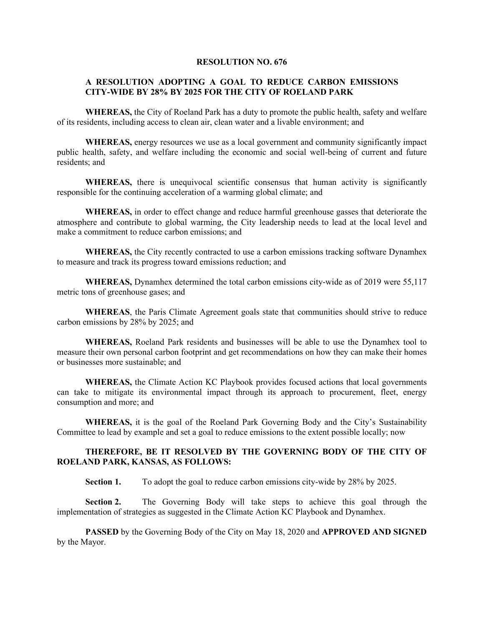## **RESOLUTION NO. 676**

## **A RESOLUTION ADOPTING A GOAL TO REDUCE CARBON EMISSIONS CITY-WIDE BY 28% BY 2025 FOR THE CITY OF ROELAND PARK**

**WHEREAS,** the City of Roeland Park has a duty to promote the public health, safety and welfare of its residents, including access to clean air, clean water and a livable environment; and

 **WHEREAS,** energy resources we use as a local government and community significantly impact public health, safety, and welfare including the economic and social well-being of current and future residents; and

WHEREAS, there is unequivocal scientific consensus that human activity is significantly responsible for the continuing acceleration of a warming global climate; and

 **WHEREAS,** in order to effect change and reduce harmful greenhouse gasses that deteriorate the atmosphere and contribute to global warming, the City leadership needs to lead at the local level and make a commitment to reduce carbon emissions; and

**WHEREAS,** the City recently contracted to use a carbon emissions tracking software Dynamhex to measure and track its progress toward emissions reduction; and

**WHEREAS,** Dynamhex determined the total carbon emissions city-wide as of 2019 were 55,117 metric tons of greenhouse gases; and

**WHEREAS**, the Paris Climate Agreement goals state that communities should strive to reduce carbon emissions by 28% by 2025; and

**WHEREAS,** Roeland Park residents and businesses will be able to use the Dynamhex tool to measure their own personal carbon footprint and get recommendations on how they can make their homes or businesses more sustainable; and

**WHEREAS,** the Climate Action KC Playbook provides focused actions that local governments can take to mitigate its environmental impact through its approach to procurement, fleet, energy consumption and more; and

**WHEREAS,** it is the goal of the Roeland Park Governing Body and the City's Sustainability Committee to lead by example and set a goal to reduce emissions to the extent possible locally; now

## **THEREFORE, BE IT RESOLVED BY THE GOVERNING BODY OF THE CITY OF ROELAND PARK, KANSAS, AS FOLLOWS:**

**Section 1.** To adopt the goal to reduce carbon emissions city-wide by 28% by 2025.

**Section 2.** The Governing Body will take steps to achieve this goal through the implementation of strategies as suggested in the Climate Action KC Playbook and Dynamhex.

**PASSED** by the Governing Body of the City on May 18, 2020 and **APPROVED AND SIGNED** by the Mayor.